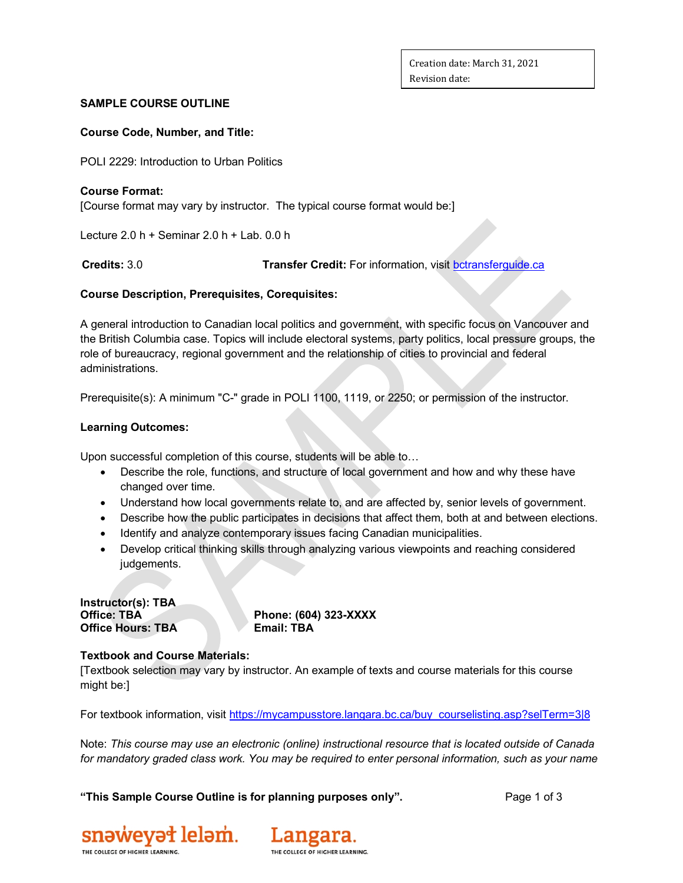### **SAMPLE COURSE OUTLINE**

#### **Course Code, Number, and Title:**

POLI 2229: Introduction to Urban Politics

### **Course Format:**

[Course format may vary by instructor. The typical course format would be:]

Lecture  $2.0 h +$  Seminar  $2.0 h +$  Lab.  $0.0 h$ 

 **Credits:** 3.0 **Transfer Credit:** For information, visit [bctransferguide.ca](about:blank)

## **Course Description, Prerequisites, Corequisites:**

A general introduction to Canadian local politics and government, with specific focus on Vancouver and the British Columbia case. Topics will include electoral systems, party politics, local pressure groups, the role of bureaucracy, regional government and the relationship of cities to provincial and federal administrations.

Prerequisite(s): A minimum "C-" grade in POLI 1100, 1119, or 2250; or permission of the instructor.

## **Learning Outcomes:**

Upon successful completion of this course, students will be able to…

- Describe the role, functions, and structure of local government and how and why these have changed over time.
- Understand how local governments relate to, and are affected by, senior levels of government.
- Describe how the public participates in decisions that affect them, both at and between elections.
- Identify and analyze contemporary issues facing Canadian municipalities.
- Develop critical thinking skills through analyzing various viewpoints and reaching considered judgements.

| Instructor(s): TBA       |  |
|--------------------------|--|
| <b>Office: TBA</b>       |  |
| <b>Office Hours: TBA</b> |  |

**Office: TBA Phone: (604) 323-XXXX Email: TBA** 

## **Textbook and Course Materials:**

[Textbook selection may vary by instructor. An example of texts and course materials for this course might be:]

For textbook information, visit [https://mycampusstore.langara.bc.ca/buy\\_courselisting.asp?selTerm=3|8](about:blank)

Note: *This course may use an electronic (online) instructional resource that is located outside of Canada for mandatory graded class work. You may be required to enter personal information, such as your name* 

**"This Sample Course Outline is for planning purposes only".** Page 1 of 3



Langara. THE COLLEGE OF HIGHER LEARNING.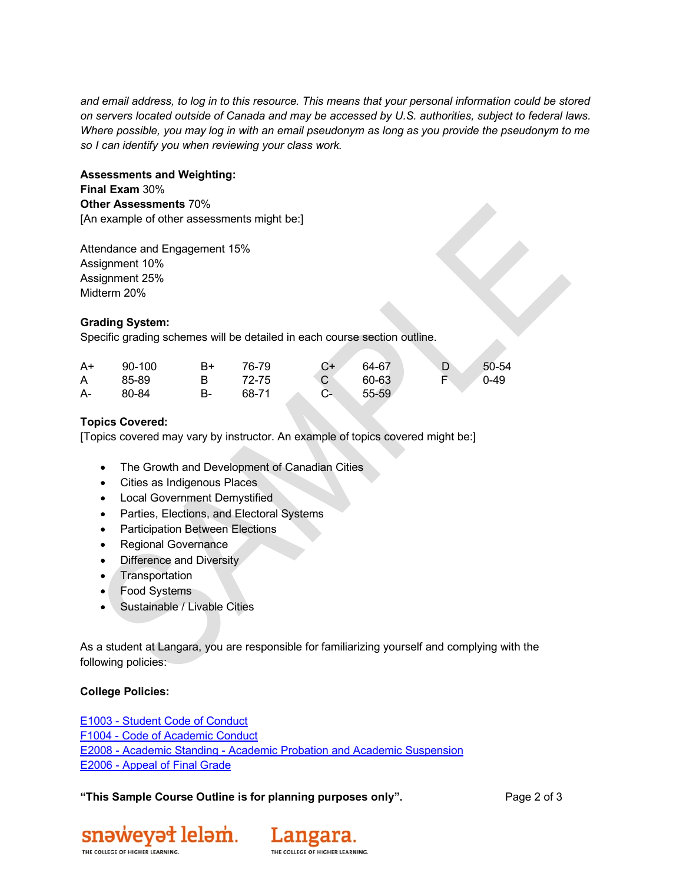*and email address, to log in to this resource. This means that your personal information could be stored on servers located outside of Canada and may be accessed by U.S. authorities, subject to federal laws. Where possible, you may log in with an email pseudonym as long as you provide the pseudonym to me so I can identify you when reviewing your class work.*

# **Assessments and Weighting: Final Exam** 30% **Other Assessments** 70% [An example of other assessments might be:]

Attendance and Engagement 15% Assignment 10% Assignment 25% Midterm 20%

# **Grading System:**

Specific grading schemes will be detailed in each course section outline.

| $A+$ | 90-100 | B+ | 76-79 | $C+$ | 64-67 | D | $50 - 54$ |
|------|--------|----|-------|------|-------|---|-----------|
| A    | 85-89  | B. | 72-75 |      | 60-63 |   | $0 - 49$  |
| A-   | 80-84  | В- | 68-71 | $C-$ | 55-59 |   |           |

# **Topics Covered:**

[Topics covered may vary by instructor. An example of topics covered might be:]

- The Growth and Development of Canadian Cities
- Cities as Indigenous Places
- Local Government Demystified
- Parties, Elections, and Electoral Systems
- Participation Between Elections
- Regional Governance
- Difference and Diversity
- Transportation
- Food Systems
- Sustainable / Livable Cities

As a student at Langara, you are responsible for familiarizing yourself and complying with the following policies:

#### **College Policies:**

E1003 - [Student Code of Conduct](about:blank)  F1004 - [Code of Academic Conduct](about:blank) E2008 - Academic Standing - [Academic Probation and Academic Suspension](about:blank) E2006 - [Appeal of Final Grade](about:blank)

**"This Sample Course Outline is for planning purposes only".** Page 2 of 3



Langara. THE COLLEGE OF HIGHER LEARNING.